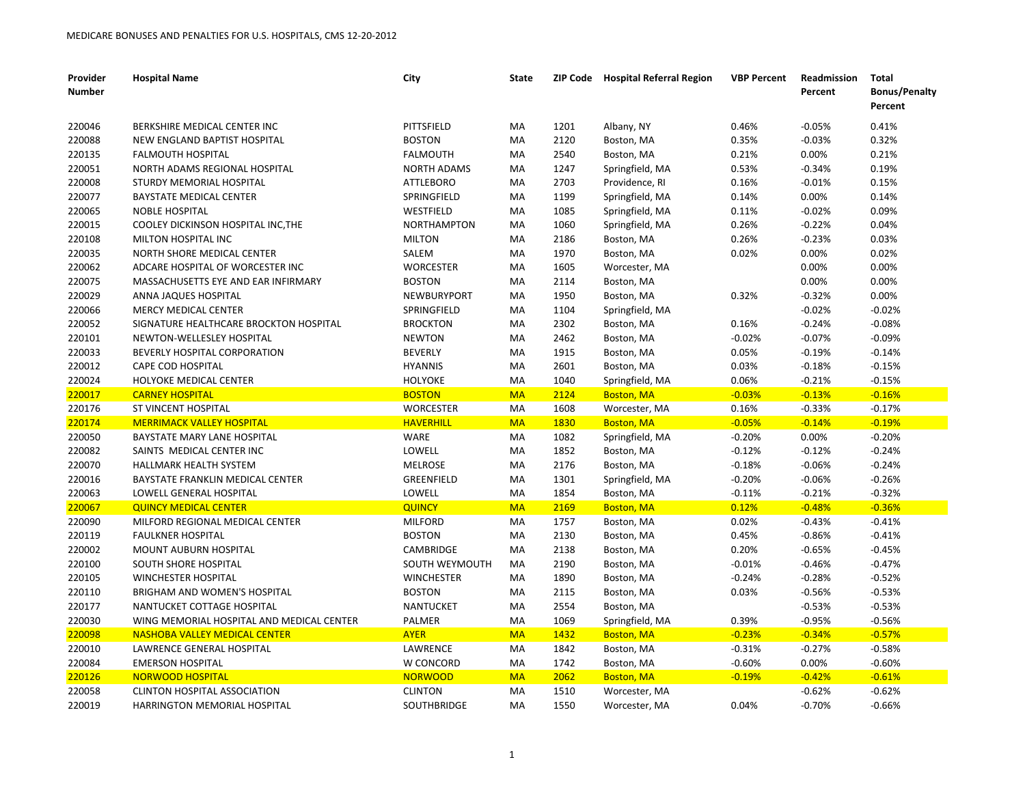| Provider<br><b>Number</b> | <b>Hospital Name</b>                      | City               | <b>State</b> |             | ZIP Code Hospital Referral Region | <b>VBP Percent</b> | <b>Readmission</b><br>Percent | Total<br><b>Bonus/Penalty</b><br>Percent |
|---------------------------|-------------------------------------------|--------------------|--------------|-------------|-----------------------------------|--------------------|-------------------------------|------------------------------------------|
| 220046                    | BERKSHIRE MEDICAL CENTER INC              | PITTSFIELD         | MA           | 1201        | Albany, NY                        | 0.46%              | $-0.05%$                      | 0.41%                                    |
| 220088                    | NEW ENGLAND BAPTIST HOSPITAL              | <b>BOSTON</b>      | МA           | 2120        | Boston, MA                        | 0.35%              | $-0.03%$                      | 0.32%                                    |
| 220135                    | <b>FALMOUTH HOSPITAL</b>                  | <b>FALMOUTH</b>    | МA           | 2540        | Boston, MA                        | 0.21%              | 0.00%                         | 0.21%                                    |
| 220051                    | NORTH ADAMS REGIONAL HOSPITAL             | <b>NORTH ADAMS</b> | MA           | 1247        | Springfield, MA                   | 0.53%              | $-0.34%$                      | 0.19%                                    |
| 220008                    | STURDY MEMORIAL HOSPITAL                  | <b>ATTLEBORO</b>   | MA           | 2703        | Providence, RI                    | 0.16%              | $-0.01%$                      | 0.15%                                    |
| 220077                    | BAYSTATE MEDICAL CENTER                   | SPRINGFIELD        | MA           | 1199        | Springfield, MA                   | 0.14%              | 0.00%                         | 0.14%                                    |
| 220065                    | <b>NOBLE HOSPITAL</b>                     | WESTFIELD          | МA           | 1085        | Springfield, MA                   | 0.11%              | $-0.02%$                      | 0.09%                                    |
| 220015                    | COOLEY DICKINSON HOSPITAL INC.THE         | <b>NORTHAMPTON</b> | МA           | 1060        | Springfield, MA                   | 0.26%              | $-0.22%$                      | 0.04%                                    |
| 220108                    | MILTON HOSPITAL INC                       | <b>MILTON</b>      | МA           | 2186        | Boston, MA                        | 0.26%              | $-0.23%$                      | 0.03%                                    |
| 220035                    | NORTH SHORE MEDICAL CENTER                | SALEM              | MA           | 1970        | Boston, MA                        | 0.02%              | 0.00%                         | 0.02%                                    |
| 220062                    | ADCARE HOSPITAL OF WORCESTER INC          | WORCESTER          | МA           | 1605        | Worcester, MA                     |                    | 0.00%                         | 0.00%                                    |
| 220075                    | MASSACHUSETTS EYE AND EAR INFIRMARY       | <b>BOSTON</b>      | <b>MA</b>    | 2114        | Boston, MA                        |                    | 0.00%                         | 0.00%                                    |
| 220029                    | ANNA JAQUES HOSPITAL                      | <b>NEWBURYPORT</b> | MA           | 1950        | Boston, MA                        | 0.32%              | $-0.32%$                      | 0.00%                                    |
| 220066                    | <b>MERCY MEDICAL CENTER</b>               | SPRINGFIELD        | MA           | 1104        | Springfield, MA                   |                    | $-0.02%$                      | $-0.02%$                                 |
| 220052                    | SIGNATURE HEALTHCARE BROCKTON HOSPITAL    | <b>BROCKTON</b>    | МA           | 2302        | Boston, MA                        | 0.16%              | $-0.24%$                      | $-0.08%$                                 |
| 220101                    | NEWTON-WELLESLEY HOSPITAL                 | <b>NEWTON</b>      | МA           | 2462        | Boston, MA                        | $-0.02%$           | $-0.07%$                      | $-0.09%$                                 |
| 220033                    | BEVERLY HOSPITAL CORPORATION              | <b>BEVERLY</b>     | МA           | 1915        | Boston, MA                        | 0.05%              | $-0.19%$                      | $-0.14%$                                 |
| 220012                    | <b>CAPE COD HOSPITAL</b>                  | <b>HYANNIS</b>     | МA           | 2601        | Boston, MA                        | 0.03%              | $-0.18%$                      | $-0.15%$                                 |
| 220024                    | HOLYOKE MEDICAL CENTER                    | <b>HOLYOKE</b>     | MA           | 1040        | Springfield, MA                   | 0.06%              | $-0.21%$                      | $-0.15%$                                 |
| 220017                    | <b>CARNEY HOSPITAL</b>                    | <b>BOSTON</b>      | <b>MA</b>    | 2124        | <b>Boston, MA</b>                 | $-0.03%$           | $-0.13%$                      | $-0.16%$                                 |
| 220176                    | ST VINCENT HOSPITAL                       | <b>WORCESTER</b>   | MA           | 1608        | Worcester, MA                     | 0.16%              | $-0.33%$                      | $-0.17%$                                 |
| 220174                    | <b>MERRIMACK VALLEY HOSPITAL</b>          | <b>HAVERHILL</b>   | <b>MA</b>    | <b>1830</b> | <b>Boston, MA</b>                 | $-0.05%$           | $-0.14%$                      | $-0.19%$                                 |
| 220050                    | BAYSTATE MARY LANE HOSPITAL               | <b>WARE</b>        | МA           | 1082        | Springfield, MA                   | $-0.20%$           | 0.00%                         | $-0.20%$                                 |
| 220082                    | SAINTS MEDICAL CENTER INC                 | LOWELL             | MA           | 1852        | Boston, MA                        | $-0.12%$           | $-0.12%$                      | $-0.24%$                                 |
| 220070                    | HALLMARK HEALTH SYSTEM                    | <b>MELROSE</b>     | MA           | 2176        | Boston, MA                        | $-0.18%$           | $-0.06%$                      | $-0.24%$                                 |
| 220016                    | BAYSTATE FRANKLIN MEDICAL CENTER          | GREENFIELD         | МA           | 1301        | Springfield, MA                   | $-0.20%$           | $-0.06%$                      | $-0.26%$                                 |
| 220063                    | LOWELL GENERAL HOSPITAL                   | LOWELL             | МA           | 1854        | Boston, MA                        | $-0.11%$           | $-0.21%$                      | $-0.32%$                                 |
| 220067                    | <b>QUINCY MEDICAL CENTER</b>              | <b>QUINCY</b>      | <b>MA</b>    | 2169        | <b>Boston, MA</b>                 | 0.12%              | $-0.48%$                      | $-0.36%$                                 |
| 220090                    | MILFORD REGIONAL MEDICAL CENTER           | <b>MILFORD</b>     | MA           | 1757        | Boston, MA                        | 0.02%              | $-0.43%$                      | $-0.41%$                                 |
| 220119                    | <b>FAULKNER HOSPITAL</b>                  | <b>BOSTON</b>      | МA           | 2130        | Boston, MA                        | 0.45%              | $-0.86%$                      | $-0.41%$                                 |
| 220002                    | MOUNT AUBURN HOSPITAL                     | <b>CAMBRIDGE</b>   | МA           | 2138        | Boston, MA                        | 0.20%              | $-0.65%$                      | $-0.45%$                                 |
| 220100                    | SOUTH SHORE HOSPITAL                      | SOUTH WEYMOUTH     | МA           | 2190        | Boston, MA                        | $-0.01%$           | $-0.46%$                      | $-0.47%$                                 |
| 220105                    | <b>WINCHESTER HOSPITAL</b>                | <b>WINCHESTER</b>  | МA           | 1890        | Boston, MA                        | $-0.24%$           | $-0.28%$                      | $-0.52%$                                 |
| 220110                    | <b>BRIGHAM AND WOMEN'S HOSPITAL</b>       | <b>BOSTON</b>      | МA           | 2115        | Boston, MA                        | 0.03%              | $-0.56%$                      | $-0.53%$                                 |
| 220177                    | NANTUCKET COTTAGE HOSPITAL                | <b>NANTUCKET</b>   | МA           | 2554        | Boston, MA                        |                    | $-0.53%$                      | $-0.53%$                                 |
| 220030                    | WING MEMORIAL HOSPITAL AND MEDICAL CENTER | <b>PALMER</b>      | МA           | 1069        | Springfield, MA                   | 0.39%              | $-0.95%$                      | $-0.56%$                                 |
| 220098                    | <b>NASHOBA VALLEY MEDICAL CENTER</b>      | <b>AYER</b>        | <b>MA</b>    | 1432        | <b>Boston, MA</b>                 | $-0.23%$           | $-0.34%$                      | $-0.57%$                                 |
| 220010                    | LAWRENCE GENERAL HOSPITAL                 | LAWRENCE           | MA           | 1842        | Boston, MA                        | $-0.31%$           | $-0.27%$                      | $-0.58%$                                 |
| 220084                    | <b>EMERSON HOSPITAL</b>                   | W CONCORD          | МA           | 1742        | Boston, MA                        | $-0.60%$           | 0.00%                         | $-0.60%$                                 |
| 220126                    | <b>NORWOOD HOSPITAL</b>                   | <b>NORWOOD</b>     | <b>MA</b>    | 2062        | <b>Boston, MA</b>                 | $-0.19%$           | $-0.42%$                      | $-0.61%$                                 |
| 220058                    | <b>CLINTON HOSPITAL ASSOCIATION</b>       | <b>CLINTON</b>     | МA           | 1510        | Worcester, MA                     |                    | $-0.62%$                      | $-0.62%$                                 |
| 220019                    | HARRINGTON MEMORIAL HOSPITAL              | <b>SOUTHBRIDGE</b> | MA           | 1550        | Worcester, MA                     | 0.04%              | $-0.70%$                      | $-0.66%$                                 |